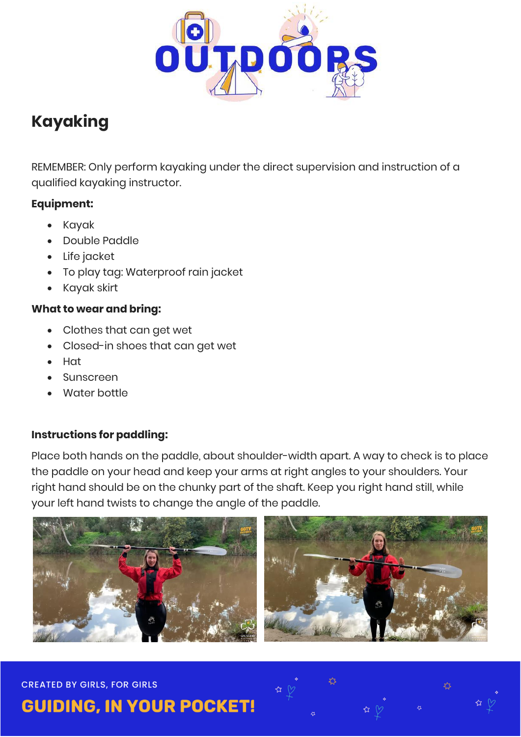

## **Kayaking**

REMEMBER: Only perform kayaking under the direct supervision and instruction of a qualified kayaking instructor.

#### **Equipment:**

- Kayak
- Double Paddle
- Life jacket
- To play tag: Waterproof rain jacket
- Kayak skirt

#### **What to wear and bring:**

- Clothes that can get wet
- Closed-in shoes that can get wet
- Hat
- Sunscreen
- Water bottle

### **Instructions for paddling:**

Place both hands on the paddle, about shoulder-width apart. A way to check is to place the paddle on your head and keep your arms at right angles to your shoulders. Your right hand should be on the chunky part of the shaft. Keep you right hand still, while your left hand twists to change the angle of the paddle.



#### **CREATED BY GIRLS, FOR GIRLS**

**GUIDING, IN YOUR POCKET!**